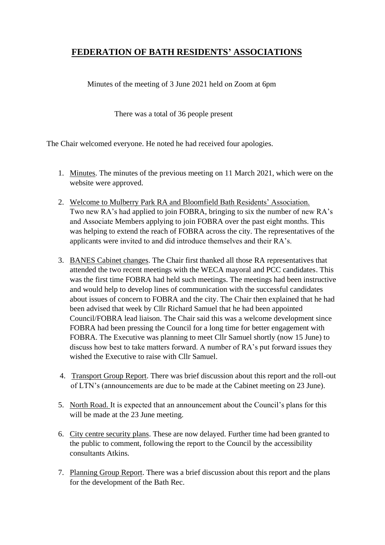# **FEDERATION OF BATH RESIDENTS' ASSOCIATIONS**

Minutes of the meeting of 3 June 2021 held on Zoom at 6pm

There was a total of 36 people present

The Chair welcomed everyone. He noted he had received four apologies.

- 1. Minutes. The minutes of the previous meeting on 11 March 2021, which were on the website were approved.
- 2. Welcome to Mulberry Park RA and Bloomfield Bath Residents' Association. Two new RA's had applied to join FOBRA, bringing to six the number of new RA's and Associate Members applying to join FOBRA over the past eight months. This was helping to extend the reach of FOBRA across the city. The representatives of the applicants were invited to and did introduce themselves and their RA's.
- 3. BANES Cabinet changes. The Chair first thanked all those RA representatives that attended the two recent meetings with the WECA mayoral and PCC candidates. This was the first time FOBRA had held such meetings. The meetings had been instructive and would help to develop lines of communication with the successful candidates about issues of concern to FOBRA and the city. The Chair then explained that he had been advised that week by Cllr Richard Samuel that he had been appointed Council/FOBRA lead liaison. The Chair said this was a welcome development since FOBRA had been pressing the Council for a long time for better engagement with FOBRA. The Executive was planning to meet Cllr Samuel shortly (now 15 June) to discuss how best to take matters forward. A number of RA's put forward issues they wished the Executive to raise with Cllr Samuel.
- 4. Transport Group Report. There was brief discussion about this report and the roll-out of LTN's (announcements are due to be made at the Cabinet meeting on 23 June).
- 5. North Road. It is expected that an announcement about the Council's plans for this will be made at the 23 June meeting.
- 6. City centre security plans. These are now delayed. Further time had been granted to the public to comment, following the report to the Council by the accessibility consultants Atkins.
- 7. Planning Group Report. There was a brief discussion about this report and the plans for the development of the Bath Rec.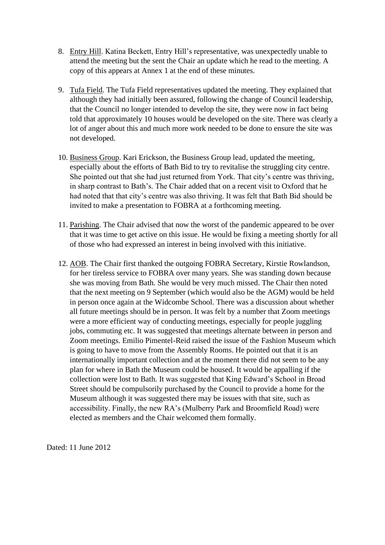- 8. Entry Hill. Katina Beckett, Entry Hill's representative, was unexpectedly unable to attend the meeting but the sent the Chair an update which he read to the meeting. A copy of this appears at Annex 1 at the end of these minutes.
- 9. Tufa Field. The Tufa Field representatives updated the meeting. They explained that although they had initially been assured, following the change of Council leadership, that the Council no longer intended to develop the site, they were now in fact being told that approximately 10 houses would be developed on the site. There was clearly a lot of anger about this and much more work needed to be done to ensure the site was not developed.
- 10. Business Group. Kari Erickson, the Business Group lead, updated the meeting, especially about the efforts of Bath Bid to try to revitalise the struggling city centre. She pointed out that she had just returned from York. That city's centre was thriving, in sharp contrast to Bath's. The Chair added that on a recent visit to Oxford that he had noted that that city's centre was also thriving. It was felt that Bath Bid should be invited to make a presentation to FOBRA at a forthcoming meeting.
- 11. Parishing. The Chair advised that now the worst of the pandemic appeared to be over that it was time to get active on this issue. He would be fixing a meeting shortly for all of those who had expressed an interest in being involved with this initiative.
- 12. AOB. The Chair first thanked the outgoing FOBRA Secretary, Kirstie Rowlandson, for her tireless service to FOBRA over many years. She was standing down because she was moving from Bath. She would be very much missed. The Chair then noted that the next meeting on 9 September (which would also be the AGM) would be held in person once again at the Widcombe School. There was a discussion about whether all future meetings should be in person. It was felt by a number that Zoom meetings were a more efficient way of conducting meetings, especially for people juggling jobs, commuting etc. It was suggested that meetings alternate between in person and Zoom meetings. Emilio Pimentel-Reid raised the issue of the Fashion Museum which is going to have to move from the Assembly Rooms. He pointed out that it is an internationally important collection and at the moment there did not seem to be any plan for where in Bath the Museum could be housed. It would be appalling if the collection were lost to Bath. It was suggested that King Edward's School in Broad Street should be compulsorily purchased by the Council to provide a home for the Museum although it was suggested there may be issues with that site, such as accessibility. Finally, the new RA's (Mulberry Park and Broomfield Road) were elected as members and the Chair welcomed them formally.

Dated: 11 June 2012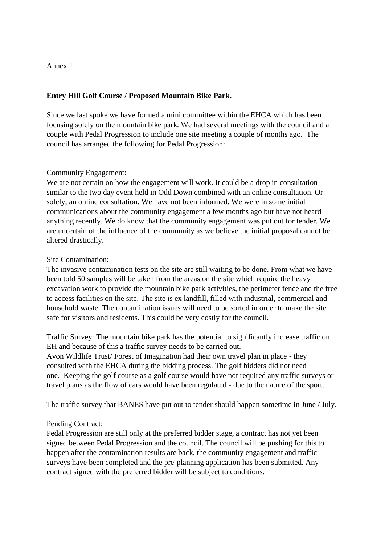Annex 1:

### **Entry Hill Golf Course / Proposed Mountain Bike Park.**

Since we last spoke we have formed a mini committee within the EHCA which has been focusing solely on the mountain bike park. We had several meetings with the council and a couple with Pedal Progression to include one site meeting a couple of months ago. The council has arranged the following for Pedal Progression:

#### Community Engagement:

We are not certain on how the engagement will work. It could be a drop in consultation similar to the two day event held in Odd Down combined with an online consultation. Or solely, an online consultation. We have not been informed. We were in some initial communications about the community engagement a few months ago but have not heard anything recently. We do know that the community engagement was put out for tender. We are uncertain of the influence of the community as we believe the initial proposal cannot be altered drastically.

#### Site Contamination:

The invasive contamination tests on the site are still waiting to be done. From what we have been told 50 samples will be taken from the areas on the site which require the heavy excavation work to provide the mountain bike park activities, the perimeter fence and the free to access facilities on the site. The site is ex landfill, filled with industrial, commercial and household waste. The contamination issues will need to be sorted in order to make the site safe for visitors and residents. This could be very costly for the council.

Traffic Survey: The mountain bike park has the potential to significantly increase traffic on EH and because of this a traffic survey needs to be carried out.

Avon Wildlife Trust/ Forest of Imagination had their own travel plan in place - they consulted with the EHCA during the bidding process. The golf bidders did not need one. Keeping the golf course as a golf course would have not required any traffic surveys or travel plans as the flow of cars would have been regulated - due to the nature of the sport.

The traffic survey that BANES have put out to tender should happen sometime in June / July.

## Pending Contract:

Pedal Progression are still only at the preferred bidder stage, a contract has not yet been signed between Pedal Progression and the council. The council will be pushing for this to happen after the contamination results are back, the community engagement and traffic surveys have been completed and the pre-planning application has been submitted. Any contract signed with the preferred bidder will be subject to conditions.